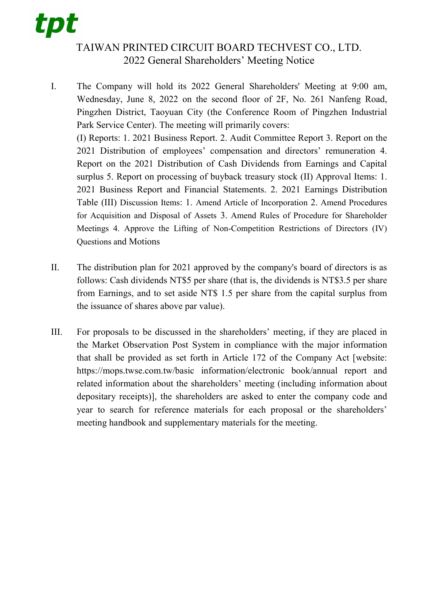## tpt

## TAIWAN PRINTED CIRCUIT BOARD TECHVEST CO., LTD. 2022 General Shareholders' Meeting Notice

- I. The Company will hold its 2022 General Shareholders' Meeting at 9:00 am, Wednesday, June 8, 2022 on the second floor of 2F, No. 261 Nanfeng Road, Pingzhen District, Taoyuan City (the Conference Room of Pingzhen Industrial Park Service Center). The meeting will primarily covers: (I) Reports: 1. 2021 Business Report. 2. Audit Committee Report 3. Report on the 2021 Distribution of employees' compensation and directors' remuneration 4. Report on the 2021 Distribution of Cash Dividends from Earnings and Capital surplus 5. Report on processing of buyback treasury stock (II) Approval Items: 1. 2021 Business Report and Financial Statements. 2. 2021 Earnings Distribution Table (III) Discussion Items: 1. Amend Article of Incorporation 2. Amend Procedures for Acquisition and Disposal of Assets 3. Amend Rules of Procedure for Shareholder Meetings 4. Approve the Lifting of Non-Competition Restrictions of Directors (IV) Questions and Motions
- II. The distribution plan for 2021 approved by the company's board of directors is as follows: Cash dividends NT\$5 per share (that is, the dividends is NT\$3.5 per share from Earnings, and to set aside NT\$ 1.5 per share from the capital surplus from the issuance of shares above par value).
- III. For proposals to be discussed in the shareholders' meeting, if they are placed in the Market Observation Post System in compliance with the major information that shall be provided as set forth in Article 172 of the Company Act [website: https://mops.twse.com.tw/basic information/electronic book/annual report and related information about the shareholders' meeting (including information about depositary receipts)], the shareholders are asked to enter the company code and year to search for reference materials for each proposal or the shareholders' meeting handbook and supplementary materials for the meeting.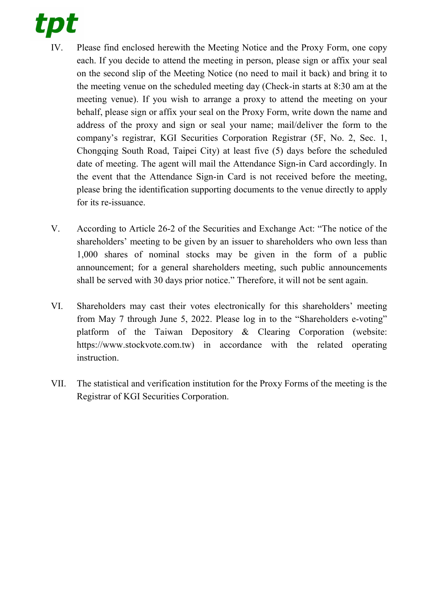

- IV. Please find enclosed herewith the Meeting Notice and the Proxy Form, one copy each. If you decide to attend the meeting in person, please sign or affix your seal on the second slip of the Meeting Notice (no need to mail it back) and bring it to the meeting venue on the scheduled meeting day (Check-in starts at 8:30 am at the meeting venue). If you wish to arrange a proxy to attend the meeting on your behalf, please sign or affix your seal on the Proxy Form, write down the name and address of the proxy and sign or seal your name; mail/deliver the form to the company's registrar, KGI Securities Corporation Registrar (5F, No. 2, Sec. 1, Chongqing South Road, Taipei City) at least five (5) days before the scheduled date of meeting. The agent will mail the Attendance Sign-in Card accordingly. In the event that the Attendance Sign-in Card is not received before the meeting, please bring the identification supporting documents to the venue directly to apply for its re-issuance.
- V. According to Article 26-2 of the Securities and Exchange Act: "The notice of the shareholders' meeting to be given by an issuer to shareholders who own less than 1,000 shares of nominal stocks may be given in the form of a public announcement; for a general shareholders meeting, such public announcements shall be served with 30 days prior notice." Therefore, it will not be sent again.
- VI. Shareholders may cast their votes electronically for this shareholders' meeting from May 7 through June 5, 2022. Please log in to the "Shareholders e-voting" platform of the Taiwan Depository & Clearing Corporation (website: https://www.stockvote.com.tw) in accordance with the related operating instruction.
- VII. The statistical and verification institution for the Proxy Forms of the meeting is the Registrar of KGI Securities Corporation.